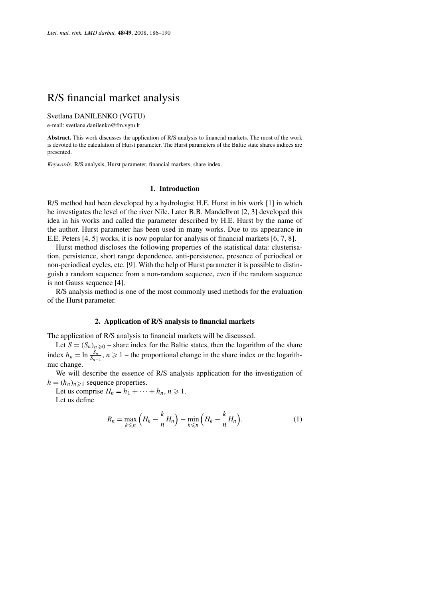# R/S financial market analysis

Svetlana DANILENKO (VGTU)

e-mail: svetlana.danilenko@fm.vgtu.lt

**Abstract.** This work discusses the application of R/S analysis to financial markets. The most of the work is devoted to the calculation of Hurst parameter. The Hurst parameters of the Baltic state shares indices are presented.

*Keywords:* R/S analysis, Hurst parameter, financial markets, share index.

#### **1. Introduction**

R/S method had been developed by a hydrologist H.E. Hurst in his work [1] in which he investigates the level of the river Nile. Later B.B. Mandelbrot [2, 3] developed this idea in his works and called the parameter described by H.E. Hurst by the name of the author. Hurst parameter has been used in many works. Due to its appearance in E.E. Peters [4, 5] works, it is now popular for analysis of financial markets [6, 7, 8].

Hurst method discloses the following properties of the statistical data: clusterisation, persistence, short range dependence, anti-persistence, presence of periodical or non-periodical cycles, etc. [9]. With the help of Hurst parameter it is possible to distinguish a random sequence from a non-random sequence, even if the random sequence is not Gauss sequence [4].

R/S analysis method is one of the most commonly used methods for the evaluation of the Hurst parameter.

### **2. Application of R/S analysis to financial markets**

The application of R/S analysis to financial markets will be discussed.

Let  $S = (S_n)_{n \geq 0}$  – share index for the Baltic states, then the logarithm of the share index  $h_n = \ln \frac{S_n}{S_{n-1}}$ ,  $n \ge 1$  – the proportional change in the share index or the logarithmic change.

We will describe the essence of R/S analysis application for the investigation of  $h = (h_n)_{n \geq 1}$  sequence properties.

Let us comprise  $H_n = h_1 + \cdots + h_n, n \ge 1$ .

Let us define

$$
R_n = \max_{k \leq n} \left( H_k - \frac{k}{n} H_n \right) - \min_{k \leq n} \left( H_k - \frac{k}{n} H_n \right). \tag{1}
$$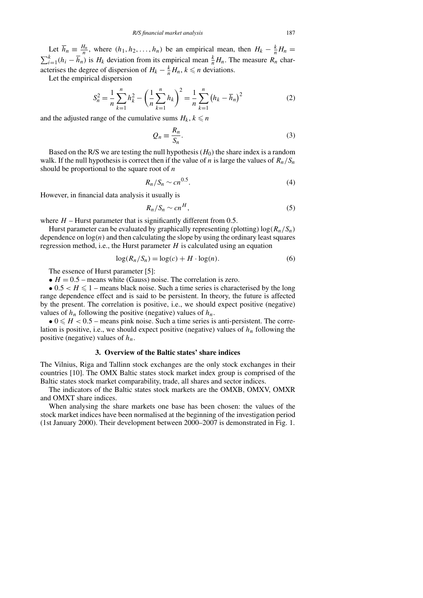Let  $\overline{h}_n \equiv \frac{H_n}{n}$ , where  $(h_1, h_2, \ldots, h_n)$  be an empirical mean, then  $H_k - \frac{k}{n}H_n =$  $\sum_{i=1}^{k} (h_i - \overline{h}_n)$  is *H<sub>k</sub>* deviation from its empirical mean  $\frac{k}{n} H_n$ . The measure *R<sub>n</sub>* characterises the degree of dispersion of  $H_k - \frac{k}{n} H_n$ ,  $k \le n$  deviations.

Let the empirical dispersion

$$
S_n^2 = \frac{1}{n} \sum_{k=1}^n h_k^2 - \left(\frac{1}{n} \sum_{k=1}^n h_k\right)^2 = \frac{1}{n} \sum_{k=1}^n \left(h_k - \overline{h}_n\right)^2
$$
 (2)

and the adjusted range of the cumulative sums  $H_k$ ,  $k \le n$ 

$$
Q_n \equiv \frac{R_n}{S_n}.\tag{3}
$$

Based on the R/S we are testing the null hypothesis  $(H_0)$  the share index is a random walk. If the null hypothesis is correct then if the value of *n* is large the values of  $R_n/S_n$ should be proportional to the square root of *n*

$$
R_n/S_n \sim cn^{0.5}.\tag{4}
$$

However, in financial data analysis it usually is

$$
R_n/S_n \sim cn^H,\tag{5}
$$

where  $H$  – Hurst parameter that is significantly different from 0.5.

Hurst parameter can be evaluated by graphically representing (plotting)  $log(R_n/S_n)$ dependence on  $log(n)$  and then calculating the slope by using the ordinary least squares regression method, i.e., the Hurst parameter *H* is calculated using an equation

$$
\log(R_n/S_n) = \log(c) + H \cdot \log(n). \tag{6}
$$

The essence of Hurst parameter [5]:

•  $H = 0.5$  – means white (Gauss) noise. The correlation is zero.

•  $0.5 < H \le 1$  – means black noise. Such a time series is characterised by the long range dependence effect and is said to be persistent. In theory, the future is affected by the present. The correlation is positive, i.e., we should expect positive (negative) values of  $h_n$  following the positive (negative) values of  $h_n$ .

 $\bullet$  0  $\leq$  *H*  $\lt$  0.5 – means pink noise. Such a time series is anti-persistent. The correlation is positive, i.e., we should expect positive (negative) values of  $h_n$  following the positive (negative) values of  $h_n$ .

### **3. Overview of the Baltic states' share indices**

The Vilnius, Riga and Tallinn stock exchanges are the only stock exchanges in their countries [10]. The OMX Baltic states stock market index group is comprised of the Baltic states stock market comparability, trade, all shares and sector indices.

The indicators of the Baltic states stock markets are the OMXB, OMXV, OMXR and OMXT share indices.

When analysing the share markets one base has been chosen: the values of the stock market indices have been normalised at the beginning of the investigation period (1st January 2000). Their development between 2000–2007 is demonstrated in Fig. 1.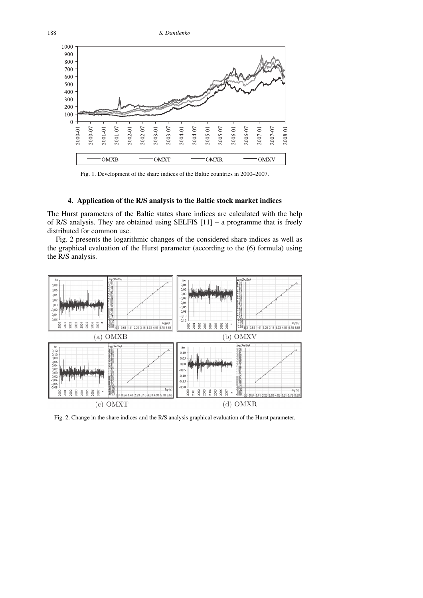188 *S. Danilenko*



Fig. 1. Development of the share indices of the Baltic countries in 2000–2007.

## **4. Application of the R/S analysis to the Baltic stock market indices**

The Hurst parameters of the Baltic states share indices are calculated with the help of R/S analysis. They are obtained using SELFIS  $[11]$  – a programme that is freely distributed for common use.

Fig. 2 presents the logarithmic changes of the considered share indices as well as the graphical evaluation of the Hurst parameter (according to the (6) formula) using the R/S analysis.



Fig. 2. Change in the share indices and the R/S analysis graphical evaluation of the Hurst parameter.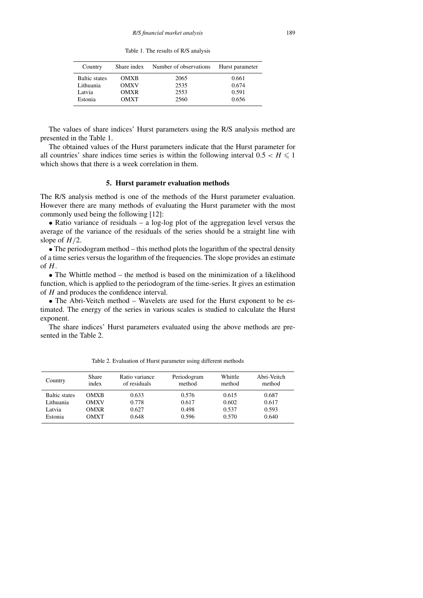Table 1. The results of R/S analysis

| Country              |             | Share index Number of observations | Hurst parameter |
|----------------------|-------------|------------------------------------|-----------------|
| <b>Baltic states</b> | <b>OMXB</b> | 2065                               | 0.661           |
| Lithuania            | <b>OMXV</b> | 2535                               | 0.674           |
| Latvia               | <b>OMXR</b> | 2553                               | 0.591           |
| Estonia              | <b>OMXT</b> | 2560                               | 0.656           |

The values of share indices' Hurst parameters using the R/S analysis method are presented in the Table 1.

The obtained values of the Hurst parameters indicate that the Hurst parameter for all countries' share indices time series is within the following interval  $0.5 < H \le 1$ which shows that there is a week correlation in them.

#### **5. Hurst parametr evaluation methods**

The R/S analysis method is one of the methods of the Hurst parameter evaluation. However there are many methods of evaluating the Hurst parameter with the most commonly used being the following [12]:

• Ratio variance of residuals – a log-log plot of the aggregation level versus the average of the variance of the residuals of the series should be a straight line with slope of *H/*2.

• The periodogram method – this method plots the logarithm of the spectral density of a time series versus the logarithm of the frequencies. The slope provides an estimate of *H*.

• The Whittle method – the method is based on the minimization of a likelihood function, which is applied to the periodogram of the time-series. It gives an estimation of *H* and produces the confidence interval.

• The Abri-Veitch method – Wavelets are used for the Hurst exponent to be estimated. The energy of the series in various scales is studied to calculate the Hurst exponent.

The share indices' Hurst parameters evaluated using the above methods are presented in the Table 2.

| Country              | <b>Share</b><br>index | Ratio variance<br>of residuals | Periodogram<br>method | Whittle<br>method | Abri-Veitch<br>method |
|----------------------|-----------------------|--------------------------------|-----------------------|-------------------|-----------------------|
| <b>Baltic states</b> | <b>OMXB</b>           | 0.633                          | 0.576                 | 0.615             | 0.687                 |
| Lithuania            | <b>OMXV</b>           | 0.778                          | 0.617                 | 0.602             | 0.617                 |
| Latvia               | <b>OMXR</b>           | 0.627                          | 0.498                 | 0.537             | 0.593                 |
| Estonia              | <b>OMXT</b>           | 0.648                          | 0.596                 | 0.570             | 0.640                 |

Table 2. Evaluation of Hurst parameter using different methods